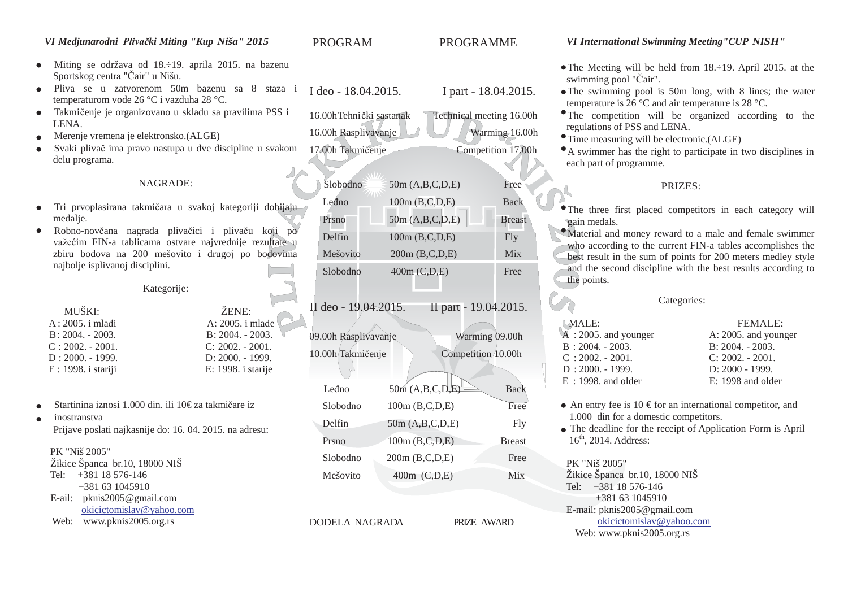#### *VI Medjunarodni Plivački Miting "Kup Niša" 2015*

- Miting se održava od 18.÷19. aprila 2015. na bazenu  $\bullet$ Sportskog centra "Čair" u Nišu.
- Pliva se u zatvorenom 50m bazenu sa 8 staza i temperaturom vode 26 °C i vazduha 28 °C. I deo - 18.04.2015. I part - 18.04.2015.
- Takmičenje je organizovano u skladu sa pravilima PSS i  $\bullet$ LENA.
- Merenje vremena je elektronsko.(ALGE)  $\bullet$
- Svaki plivač ima pravo nastupa u dve discipline u svakom delu programa.

#### NAGRADE:

- Tri prvoplasirana takmičara u svakoj kategoriji dobijaju  $\bullet$ medalie.
- Robno-novčana nagrada plivačici i plivaču koji po  $\bullet$ važećim FIN-a tablicama ostvare najvrednije rezultate u zbiru bodova na 200 mešovito i drugoj po bodovima najbolje isplivanoj disciplini.

#### Kategorije:

| ŽENE:              |
|--------------------|
| A: 2005. i mlađe   |
| $B: 2004. - 2003.$ |
| $C: 2002. - 2001.$ |
| D: 2000. - 1999.   |
| E: 1998. i starije |
|                    |

- Startinina iznosi 1.000 din. ili 10€ za takmičare iz
- inostranstva Prijave poslati najkasnije do: 16. 04. 2015. na adresu:

#### PK "Niš 2005"

| Žikice Španca br.10, 18000 NIŠ |
|--------------------------------|
| Tel: +381 18 576-146           |
| +381 63 1045910                |
| E-ail: $pknis2005@gmail.com$   |
| okicictomislav@yahoo.com       |
| Web: www.pknis2005.org.rs      |

## Mešovito 400m (C,D,E) Mix

DODELA NAGRADA PRIZE AWARD

#### *VI International Swimming Meeting"CUP NISH"*

- The Meeting will be held from 18.÷19. April 2015. at the swimming pool "Čair".
- The swimming pool is 50m long, with 8 lines; the water temperature is 26 °C and air temperature is 28 °C.
- The competition will be organized according to the regulations of PSS and LENA.
- Time measuring will be electronic.(ALGE)
- A swimmer has the right to participate in two disciplines in each part of programme.

#### PRIZES:

The three first placed competitors in each category will gain medals.

Material and money reward to a male and female swimmer who according to the current FIN-a tables accomplishes the best result in the sum of points for 200 meters medley style and the second discipline with the best results according to the points.

#### Categories:

| MALE:                              | FEMALE:              |
|------------------------------------|----------------------|
| $\overline{A}$ : 2005. and younger | A: 2005. and younger |
| $B: 2004. - 2003.$                 | $B: 2004. - 2003.$   |
| $C: 2002. - 2001.$                 | $C: 2002. - 2001.$   |
| $D: 2000. - 1999.$                 | D: 2000 - 1999.      |
| $E: 1998$ and older                | $E: 1998$ and older  |

- An entry fee is 10  $\epsilon$  for an international competitor, and 1.000 din for a domestic competitors.
- The deadline for the receipt of Application Form is April  $16<sup>th</sup>$ , 2014. Address:

PK "Niš 2005"

Žikice Španca br.10, 18000 NIŠ Tel: +381 18 576-146 +381 63 1045910 E-[mail: pknis2005@gmail.com](mailto:pknis2005@gmail.com)  [okicictomislav@yahoo.com](mailto:pknis2005@gmail.com) [Web: www.pknis2005.org.rs](http://www.pknis2005.org.rs/)

PROGRAM PROGRAMME

16.00hTehnički sastanak Technical meeting 16.00h 16.00h Rasplivavanje Warming 16.00h 17.00h Takmičenje Competition 17.00h

Slobodno 50m (A,B,C,D,E) Free Leđno 100m (B.C.D.E) Back  $P<sub>rsno</sub>$  50m (A,B,C,D,E) Breast  $\text{Delfin}$  100m (B,C,D,E) Fly Mešovito 200m (B,C,D,E) Mix Slobodno 400m (C,D,E) Free

II deo - 19.04.2015. II part - 19.04.2015.

09.00h Rasplivavanje Warming 09.00h 10.00h Takmičenje Competition 10.00h

Leđno  $50m (A, B, C, D, E)$  Back Slobodno 100m (B,C,D,E) Free Delfin  $50m (A, B, C, D, E)$  Fly Prsno 100m (B,C,D,E) Breast Slobodno 200m (B,C,D,E) Free